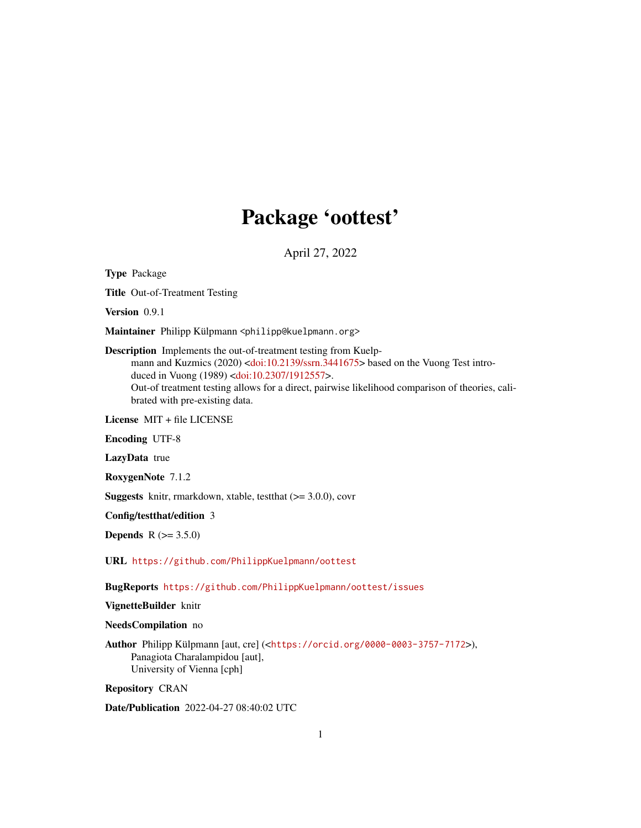## Package 'oottest'

April 27, 2022

Type Package

Title Out-of-Treatment Testing

Version 0.9.1

Maintainer Philipp Külpmann <philipp@kuelpmann.org>

Description Implements the out-of-treatment testing from Kuelp-mann and Kuzmics (2020) [<doi:10.2139/ssrn.3441675>](https://doi.org/10.2139/ssrn.3441675) based on the Vuong Test introduced in Vuong (1989) [<doi:10.2307/1912557>](https://doi.org/10.2307/1912557). Out-of treatment testing allows for a direct, pairwise likelihood comparison of theories, cali-

brated with pre-existing data.

License MIT + file LICENSE

Encoding UTF-8

LazyData true

RoxygenNote 7.1.2

Suggests knitr, rmarkdown, xtable, testthat (>= 3.0.0), covr

Config/testthat/edition 3

**Depends** R  $(>= 3.5.0)$ 

URL <https://github.com/PhilippKuelpmann/oottest>

BugReports <https://github.com/PhilippKuelpmann/oottest/issues>

VignetteBuilder knitr

NeedsCompilation no

Author Philipp Külpmann [aut, cre] (<<https://orcid.org/0000-0003-3757-7172>>), Panagiota Charalampidou [aut], University of Vienna [cph]

Repository CRAN

Date/Publication 2022-04-27 08:40:02 UTC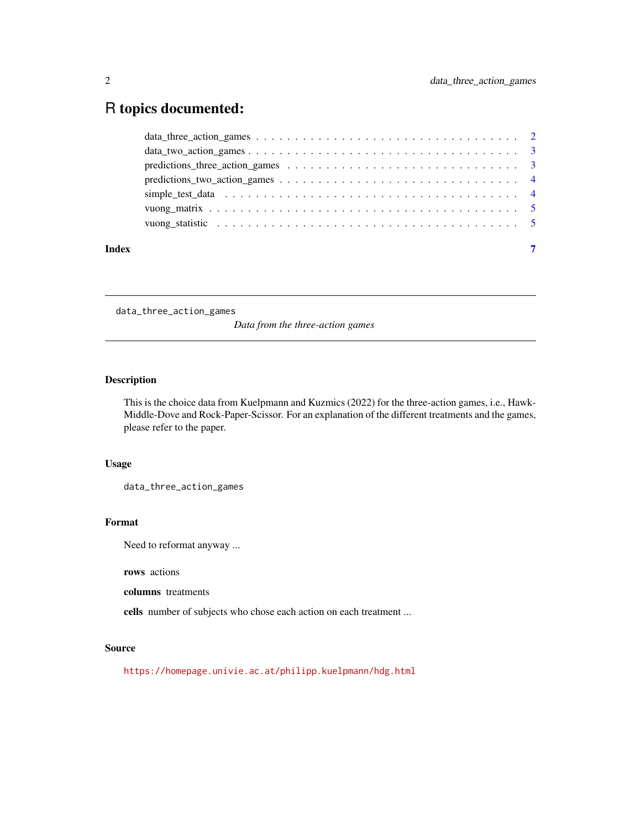### <span id="page-1-0"></span>R topics documented:

| Index | $\overline{7}$ |
|-------|----------------|

data\_three\_action\_games

*Data from the three-action games*

#### Description

This is the choice data from Kuelpmann and Kuzmics (2022) for the three-action games, i.e., Hawk-Middle-Dove and Rock-Paper-Scissor. For an explanation of the different treatments and the games, please refer to the paper.

#### Usage

data\_three\_action\_games

#### Format

Need to reformat anyway ...

rows actions

columns treatments

cells number of subjects who chose each action on each treatment ...

#### Source

<https://homepage.univie.ac.at/philipp.kuelpmann/hdg.html>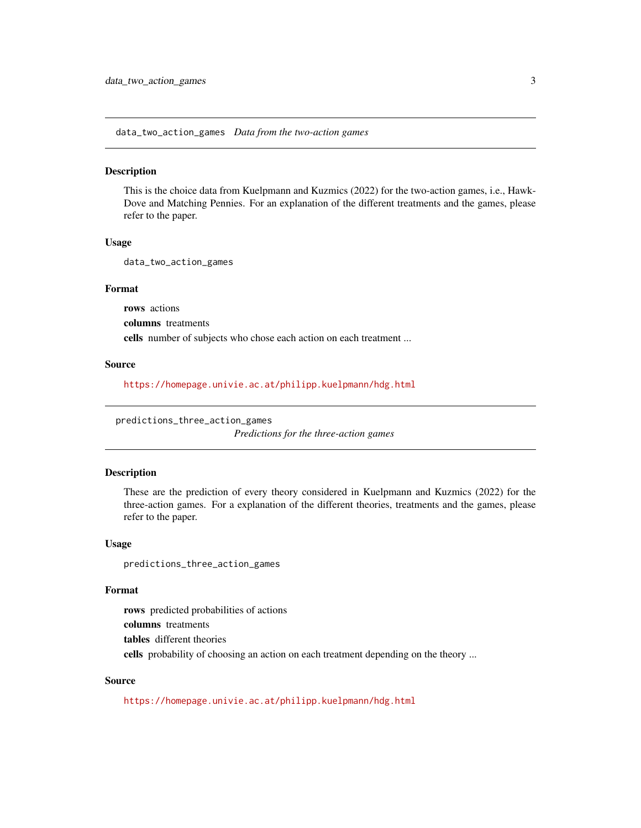<span id="page-2-0"></span>data\_two\_action\_games *Data from the two-action games*

#### Description

This is the choice data from Kuelpmann and Kuzmics (2022) for the two-action games, i.e., Hawk-Dove and Matching Pennies. For an explanation of the different treatments and the games, please refer to the paper.

#### Usage

data\_two\_action\_games

#### Format

rows actions columns treatments cells number of subjects who chose each action on each treatment ...

#### Source

<https://homepage.univie.ac.at/philipp.kuelpmann/hdg.html>

predictions\_three\_action\_games

*Predictions for the three-action games*

#### Description

These are the prediction of every theory considered in Kuelpmann and Kuzmics (2022) for the three-action games. For a explanation of the different theories, treatments and the games, please refer to the paper.

#### Usage

predictions\_three\_action\_games

#### Format

rows predicted probabilities of actions columns treatments tables different theories cells probability of choosing an action on each treatment depending on the theory ...

#### Source

<https://homepage.univie.ac.at/philipp.kuelpmann/hdg.html>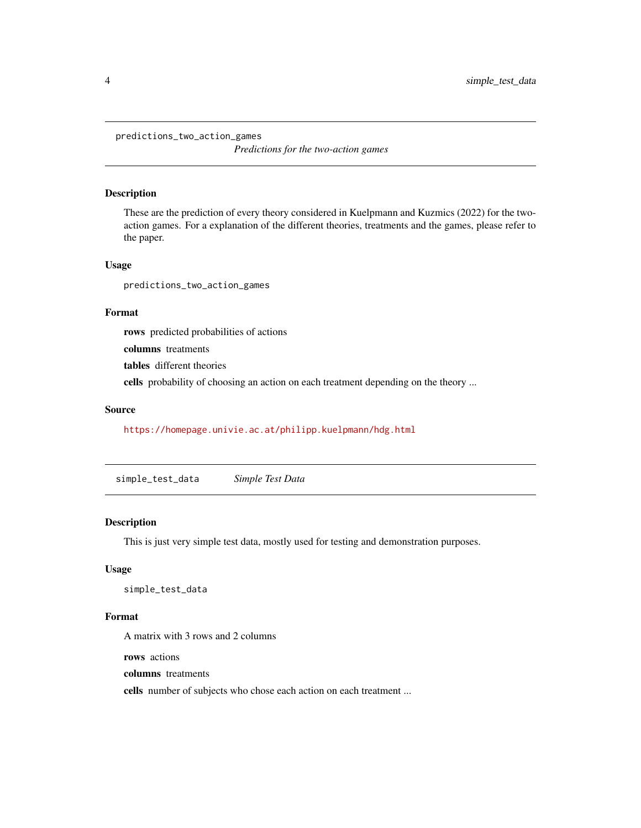<span id="page-3-0"></span>predictions\_two\_action\_games

*Predictions for the two-action games*

#### Description

These are the prediction of every theory considered in Kuelpmann and Kuzmics (2022) for the twoaction games. For a explanation of the different theories, treatments and the games, please refer to the paper.

#### Usage

predictions\_two\_action\_games

#### Format

rows predicted probabilities of actions

columns treatments

tables different theories

cells probability of choosing an action on each treatment depending on the theory ...

#### Source

<https://homepage.univie.ac.at/philipp.kuelpmann/hdg.html>

simple\_test\_data *Simple Test Data*

#### Description

This is just very simple test data, mostly used for testing and demonstration purposes.

#### Usage

simple\_test\_data

#### Format

A matrix with 3 rows and 2 columns

rows actions

columns treatments

cells number of subjects who chose each action on each treatment ...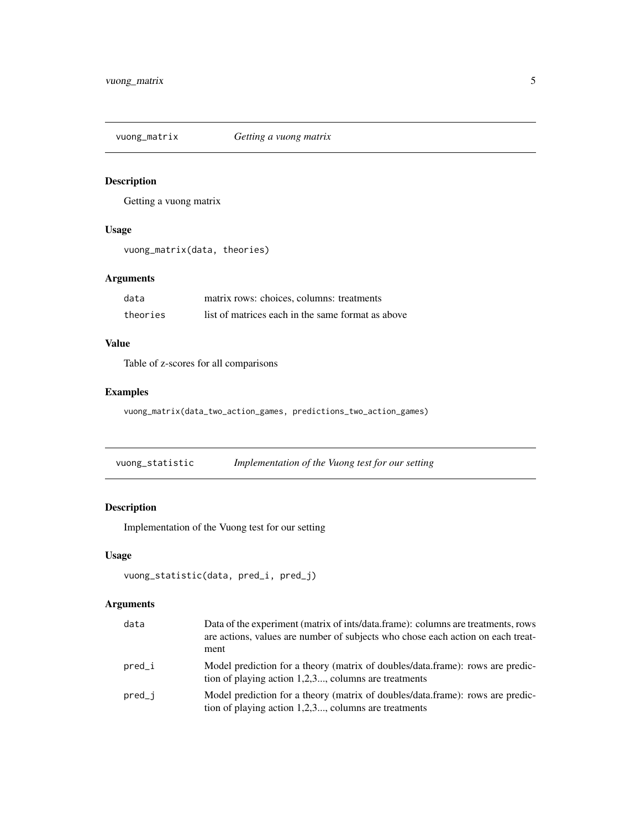<span id="page-4-0"></span>vuong\_matrix *Getting a vuong matrix*

#### Description

Getting a vuong matrix

#### Usage

```
vuong_matrix(data, theories)
```
#### Arguments

| data     | matrix rows: choices, columns: treatments         |
|----------|---------------------------------------------------|
| theories | list of matrices each in the same format as above |

#### Value

Table of z-scores for all comparisons

#### Examples

vuong\_matrix(data\_two\_action\_games, predictions\_two\_action\_games)

vuong\_statistic *Implementation of the Vuong test for our setting*

#### Description

Implementation of the Vuong test for our setting

#### Usage

```
vuong_statistic(data, pred_i, pred_j)
```
#### Arguments

| data     | Data of the experiment (matrix of ints/data.frame): columns are treatments, rows<br>are actions, values are number of subjects who chose each action on each treat-<br>ment |
|----------|-----------------------------------------------------------------------------------------------------------------------------------------------------------------------------|
| $pred_i$ | Model prediction for a theory (matrix of doubles/data.frame): rows are predic-<br>tion of playing action $1,2,3$ , columns are treatments                                   |
| $pred_i$ | Model prediction for a theory (matrix of doubles/data.frame): rows are predic-<br>tion of playing action $1,2,3$ , columns are treatments                                   |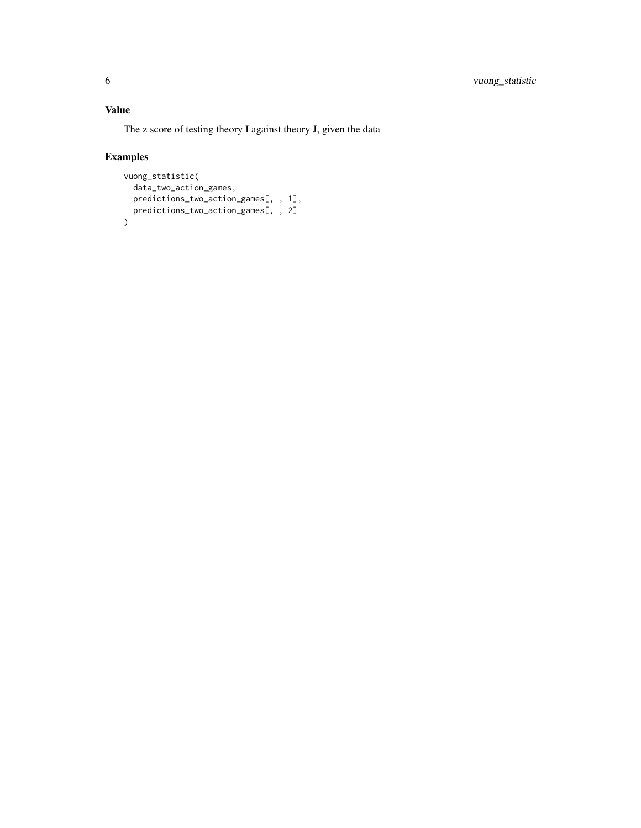#### Value

The z score of testing theory I against theory J, given the data

#### Examples

```
vuong_statistic(
  data_two_action_games,
  predictions_two_action_games[, , 1],
  predictions_two_action_games[, , 2]
)
```